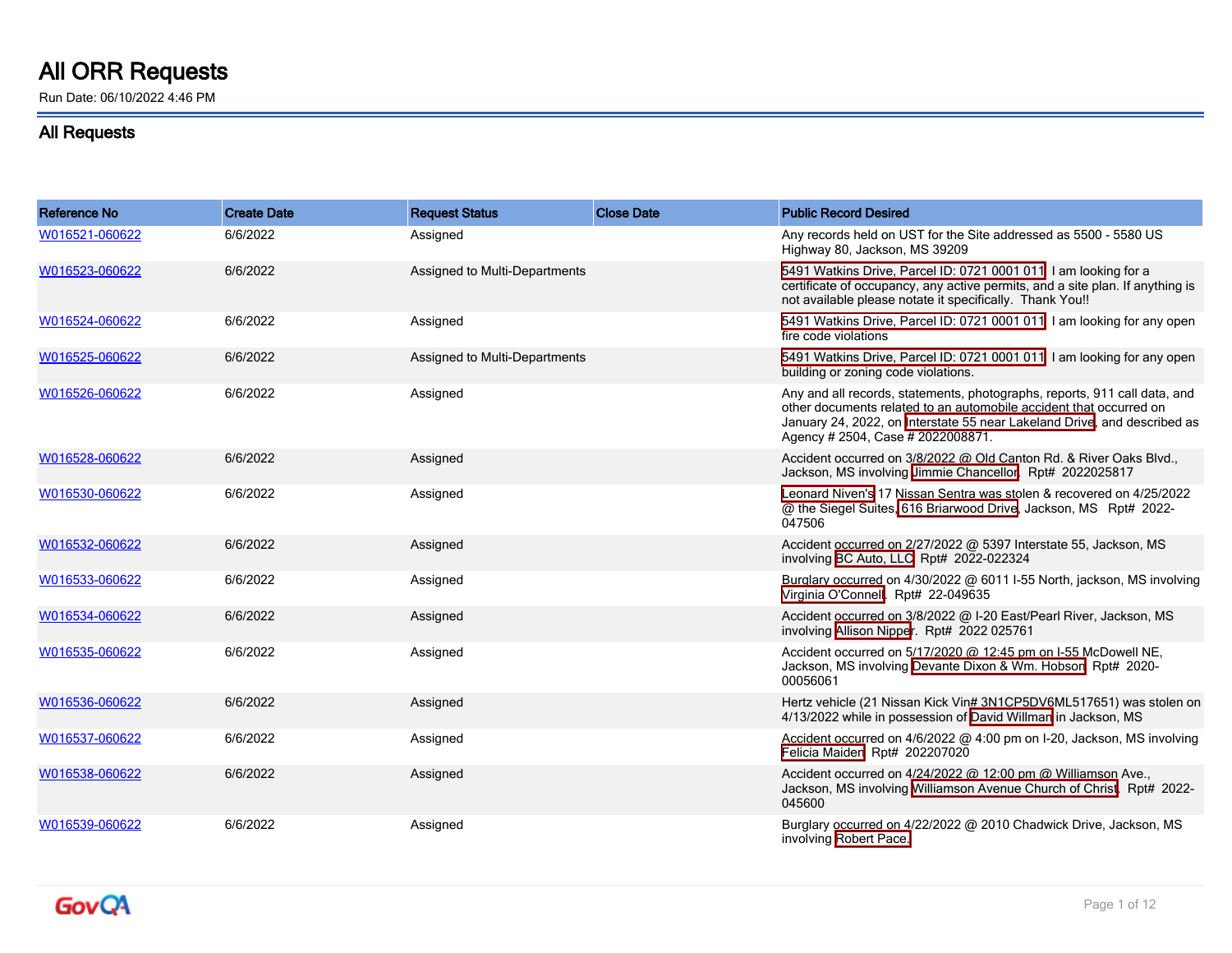## **All ORR Requests**

Run Date: 06/10/2022 4:46 PM

## **All Requests**

| <b>Reference No</b> | <b>Create Date</b> | <b>Request Status</b>         | <b>Close Date</b> | <b>Public Record Desired</b>                                                                                                                                                                                                                                     |
|---------------------|--------------------|-------------------------------|-------------------|------------------------------------------------------------------------------------------------------------------------------------------------------------------------------------------------------------------------------------------------------------------|
| W016521-060622      | 6/6/2022           | Assigned                      |                   | Any records held on UST for the Site addressed as 5500 - 5580 US<br>Highway 80, Jackson, MS 39209                                                                                                                                                                |
| W016523-060622      | 6/6/2022           | Assigned to Multi-Departments |                   | 5491 Watkins Drive, Parcel ID: 0721 0001 011 I am looking for a<br>certificate of occupancy, any active permits, and a site plan. If anything is<br>not available please notate it specifically. Thank You!!                                                     |
| W016524-060622      | 6/6/2022           | Assigned                      |                   | 5491 Watkins Drive, Parcel ID: 0721 0001 011 I am looking for any open<br>fire code violations                                                                                                                                                                   |
| W016525-060622      | 6/6/2022           | Assigned to Multi-Departments |                   | 5491 Watkins Drive, Parcel ID: 0721 0001 011 I am looking for any open<br>building or zoning code violations.                                                                                                                                                    |
| W016526-060622      | 6/6/2022           | Assigned                      |                   | Any and all records, statements, photographs, reports, 911 call data, and<br>other documents related to an automobile accident that occurred on<br>January 24, 2022, on Interstate 55 near Lakeland Drive, and described as<br>Agency # 2504, Case # 2022008871. |
| W016528-060622      | 6/6/2022           | Assigned                      |                   | Accident occurred on 3/8/2022 @ Old Canton Rd. & River Oaks Blvd.,<br>Jackson, MS involving Jimmie Chancellor Rpt# 2022025817                                                                                                                                    |
| W016530-060622      | 6/6/2022           | Assigned                      |                   | Leonard Niven's 17 Nissan Sentra was stolen & recovered on 4/25/2022<br>@ the Siegel Suites, 616 Briarwood Drive, Jackson, MS Rpt# 2022-<br>047506                                                                                                               |
| W016532-060622      | 6/6/2022           | Assigned                      |                   | Accident occurred on 2/27/2022 @ 5397 Interstate 55, Jackson, MS<br>involving BC Auto, LLC Rpt# 2022-022324                                                                                                                                                      |
| W016533-060622      | 6/6/2022           | Assigned                      |                   | Burglary occurred on 4/30/2022 @ 6011 I-55 North, jackson, MS involving<br>Virginia O'Connell Rpt# 22-049635                                                                                                                                                     |
| W016534-060622      | 6/6/2022           | Assigned                      |                   | Accident occurred on 3/8/2022 @ I-20 East/Pearl River, Jackson, MS<br>involving Allison Nipper. Rpt# 2022 025761                                                                                                                                                 |
| W016535-060622      | 6/6/2022           | Assigned                      |                   | Accident occurred on 5/17/2020 @ 12:45 pm on I-55 McDowell NE,<br>Jackson, MS involving Devante Dixon & Wm. Hobson Rpt# 2020-<br>00056061                                                                                                                        |
| W016536-060622      | 6/6/2022           | Assigned                      |                   | Hertz vehicle (21 Nissan Kick Vin# 3N1CP5DV6ML517651) was stolen on<br>4/13/2022 while in possession of David Willman in Jackson, MS                                                                                                                             |
| W016537-060622      | 6/6/2022           | Assigned                      |                   | Accident occurred on 4/6/2022 @ 4:00 pm on I-20, Jackson, MS involving<br>Felicia Maiden Rpt# 202207020                                                                                                                                                          |
| W016538-060622      | 6/6/2022           | Assigned                      |                   | Accident occurred on 4/24/2022 @ 12:00 pm @ Williamson Ave.,<br>Jackson, MS involving Williamson Avenue Church of Christ Rpt# 2022-<br>045600                                                                                                                    |
| W016539-060622      | 6/6/2022           | Assigned                      |                   | Burglary occurred on 4/22/2022 @ 2010 Chadwick Drive, Jackson, MS<br>involving Robert Pace.                                                                                                                                                                      |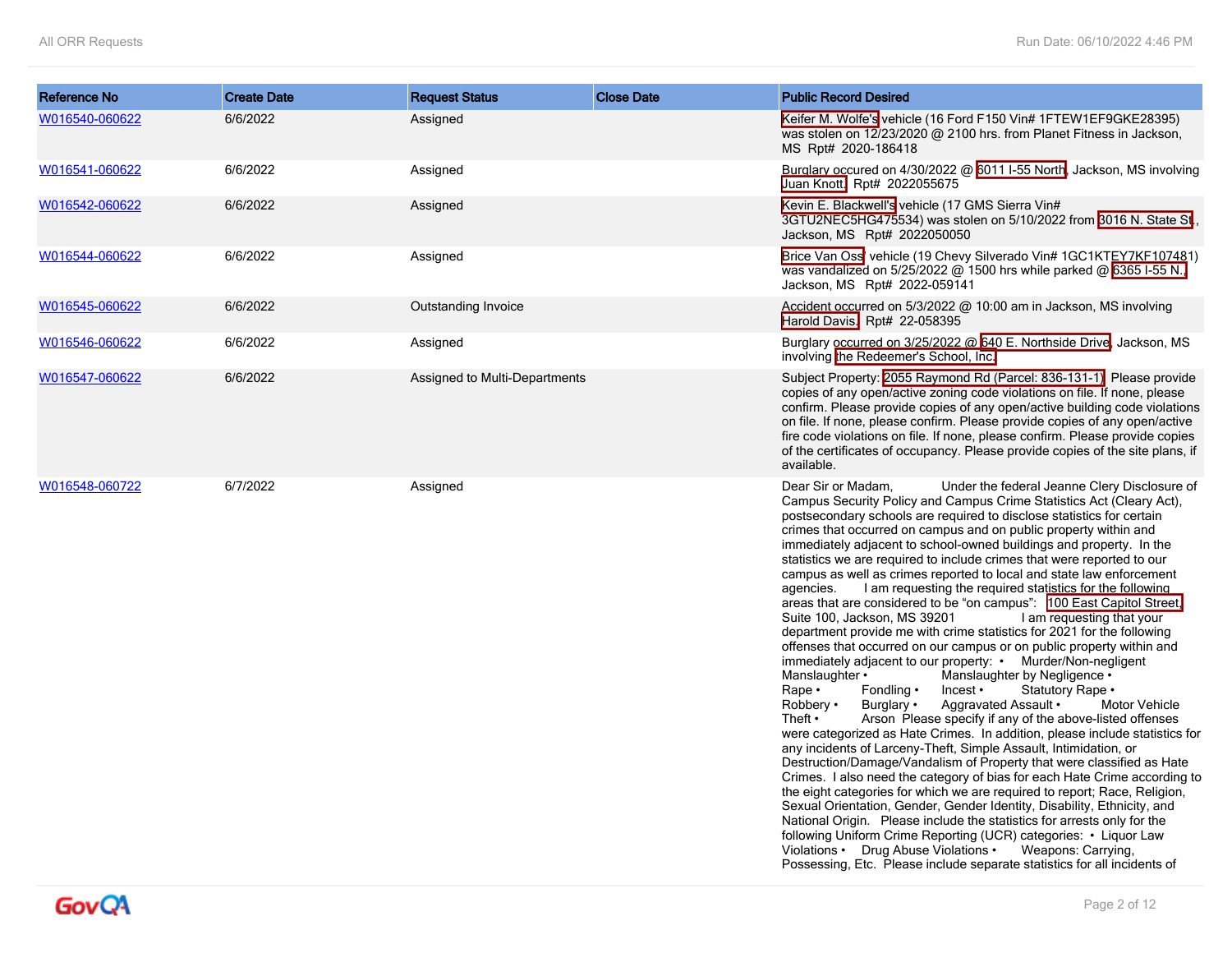| <b>Reference No</b> | <b>Create Date</b> | <b>Request Status</b>         | <b>Close Date</b> | <b>Public Record Desired</b>                                                                                                                                                                                                                                                                                                                                                                                                                                                                                                                                                                                                                                                                                                                                                                                                                                                                                                                                                                                                                                                                                                                                                                                                                                                                                                                                                                                                                                                                                                                                                                                                                                                                                                                                                                                                                                                                                                                                                |
|---------------------|--------------------|-------------------------------|-------------------|-----------------------------------------------------------------------------------------------------------------------------------------------------------------------------------------------------------------------------------------------------------------------------------------------------------------------------------------------------------------------------------------------------------------------------------------------------------------------------------------------------------------------------------------------------------------------------------------------------------------------------------------------------------------------------------------------------------------------------------------------------------------------------------------------------------------------------------------------------------------------------------------------------------------------------------------------------------------------------------------------------------------------------------------------------------------------------------------------------------------------------------------------------------------------------------------------------------------------------------------------------------------------------------------------------------------------------------------------------------------------------------------------------------------------------------------------------------------------------------------------------------------------------------------------------------------------------------------------------------------------------------------------------------------------------------------------------------------------------------------------------------------------------------------------------------------------------------------------------------------------------------------------------------------------------------------------------------------------------|
| W016540-060622      | 6/6/2022           | Assigned                      |                   | Keifer M. Wolfe's vehicle (16 Ford F150 Vin# 1FTEW1EF9GKE28395)<br>was stolen on 12/23/2020 @ 2100 hrs. from Planet Fitness in Jackson,<br>MS Rpt# 2020-186418                                                                                                                                                                                                                                                                                                                                                                                                                                                                                                                                                                                                                                                                                                                                                                                                                                                                                                                                                                                                                                                                                                                                                                                                                                                                                                                                                                                                                                                                                                                                                                                                                                                                                                                                                                                                              |
| W016541-060622      | 6/6/2022           | Assigned                      |                   | Burglary occured on 4/30/2022 @ 6011 I-55 North, Jackson, MS involving<br>Juan Knott. Rpt# 2022055675                                                                                                                                                                                                                                                                                                                                                                                                                                                                                                                                                                                                                                                                                                                                                                                                                                                                                                                                                                                                                                                                                                                                                                                                                                                                                                                                                                                                                                                                                                                                                                                                                                                                                                                                                                                                                                                                       |
| W016542-060622      | 6/6/2022           | Assigned                      |                   | Kevin E. Blackwell's vehicle (17 GMS Sierra Vin#<br>3GTU2NEC5HG475534) was stolen on 5/10/2022 from 3016 N. State St<br>Jackson, MS Rpt# 2022050050                                                                                                                                                                                                                                                                                                                                                                                                                                                                                                                                                                                                                                                                                                                                                                                                                                                                                                                                                                                                                                                                                                                                                                                                                                                                                                                                                                                                                                                                                                                                                                                                                                                                                                                                                                                                                         |
| W016544-060622      | 6/6/2022           | Assigned                      |                   | Brice Van Oss' vehicle (19 Chevy Silverado Vin# 1GC1KTEY7KF107481)<br>was vandalized on 5/25/2022 @ 1500 hrs while parked @ 6365 I-55 N.<br>Jackson, MS Rpt# 2022-059141                                                                                                                                                                                                                                                                                                                                                                                                                                                                                                                                                                                                                                                                                                                                                                                                                                                                                                                                                                                                                                                                                                                                                                                                                                                                                                                                                                                                                                                                                                                                                                                                                                                                                                                                                                                                    |
| W016545-060622      | 6/6/2022           | Outstanding Invoice           |                   | Accident occurred on 5/3/2022 @ 10:00 am in Jackson, MS involving<br>Harold Davis. Rpt# 22-058395                                                                                                                                                                                                                                                                                                                                                                                                                                                                                                                                                                                                                                                                                                                                                                                                                                                                                                                                                                                                                                                                                                                                                                                                                                                                                                                                                                                                                                                                                                                                                                                                                                                                                                                                                                                                                                                                           |
| W016546-060622      | 6/6/2022           | Assigned                      |                   | Burglary occurred on 3/25/2022 @ 640 E. Northside Drive, Jackson, MS<br>involving the Redeemer's School, Inc.                                                                                                                                                                                                                                                                                                                                                                                                                                                                                                                                                                                                                                                                                                                                                                                                                                                                                                                                                                                                                                                                                                                                                                                                                                                                                                                                                                                                                                                                                                                                                                                                                                                                                                                                                                                                                                                               |
| W016547-060622      | 6/6/2022           | Assigned to Multi-Departments |                   | Subject Property: 2055 Raymond Rd (Parcel: 836-131-1) Please provide<br>copies of any open/active zoning code violations on file. If none, please<br>confirm. Please provide copies of any open/active building code violations<br>on file. If none, please confirm. Please provide copies of any open/active<br>fire code violations on file. If none, please confirm. Please provide copies<br>of the certificates of occupancy. Please provide copies of the site plans, if<br>available.                                                                                                                                                                                                                                                                                                                                                                                                                                                                                                                                                                                                                                                                                                                                                                                                                                                                                                                                                                                                                                                                                                                                                                                                                                                                                                                                                                                                                                                                                |
| W016548-060722      | 6/7/2022           | Assigned                      |                   | Dear Sir or Madam,<br>Under the federal Jeanne Clery Disclosure of<br>Campus Security Policy and Campus Crime Statistics Act (Cleary Act),<br>postsecondary schools are required to disclose statistics for certain<br>crimes that occurred on campus and on public property within and<br>immediately adjacent to school-owned buildings and property. In the<br>statistics we are required to include crimes that were reported to our<br>campus as well as crimes reported to local and state law enforcement<br>I am requesting the required statistics for the following<br>agencies.<br>areas that are considered to be "on campus": 100 East Capitol Street,<br>Suite 100, Jackson, MS 39201<br>I am requesting that your<br>department provide me with crime statistics for 2021 for the following<br>offenses that occurred on our campus or on public property within and<br>immediately adjacent to our property: • Murder/Non-negligent<br>Manslaughter •<br>Manslaughter by Negligence •<br>Rape •<br>Fondling $\cdot$<br>Incest •<br>Statutory Rape •<br>Robbery •<br>Burglary •<br>Aggravated Assault •<br>Motor Vehicle<br>Theft $\cdot$<br>Arson Please specify if any of the above-listed offenses<br>were categorized as Hate Crimes. In addition, please include statistics for<br>any incidents of Larceny-Theft, Simple Assault, Intimidation, or<br>Destruction/Damage/Vandalism of Property that were classified as Hate<br>Crimes. I also need the category of bias for each Hate Crime according to<br>the eight categories for which we are required to report; Race, Religion,<br>Sexual Orientation, Gender, Gender Identity, Disability, Ethnicity, and<br>National Origin. Please include the statistics for arrests only for the<br>following Uniform Crime Reporting (UCR) categories: • Liquor Law<br>Violations • Drug Abuse Violations • Weapons: Carrying,<br>Possessing, Etc. Please include separate statistics for all incidents of |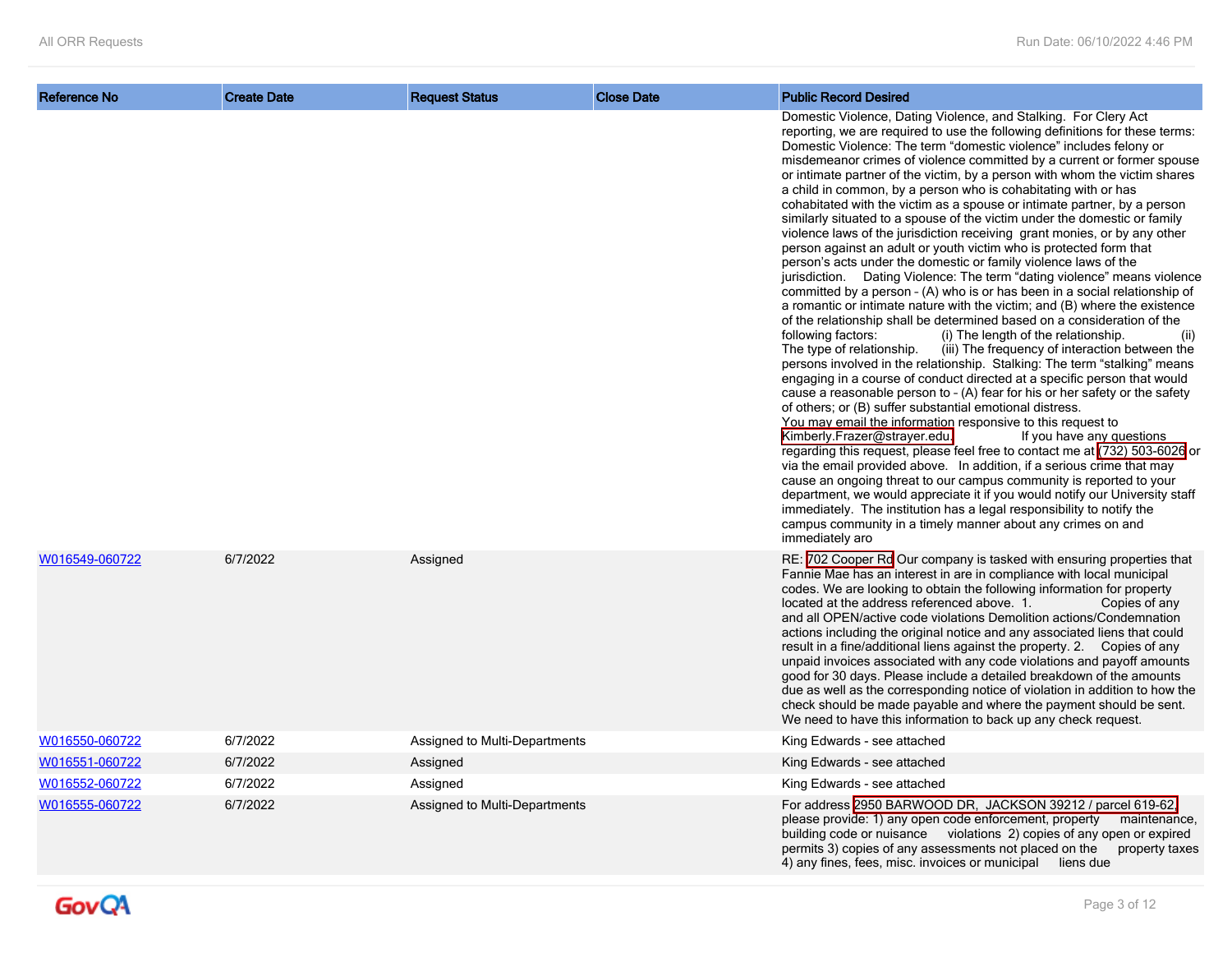| <b>Reference No</b> | <b>Create Date</b> | <b>Request Status</b>         | <b>Close Date</b> | <b>Public Record Desired</b>                                                                                                                                                                                                                                                                                                                                                                                                                                                                                                                                                                                                                                                                                                                                                                                                                                                                                                                                                                                                                                                                                                                                                                                                                                                                                                                                                                                                                                                                                                                                                                                                                                                                                                                                                                                                                                                                                                                                                                                                                                                                                                                                                                                    |
|---------------------|--------------------|-------------------------------|-------------------|-----------------------------------------------------------------------------------------------------------------------------------------------------------------------------------------------------------------------------------------------------------------------------------------------------------------------------------------------------------------------------------------------------------------------------------------------------------------------------------------------------------------------------------------------------------------------------------------------------------------------------------------------------------------------------------------------------------------------------------------------------------------------------------------------------------------------------------------------------------------------------------------------------------------------------------------------------------------------------------------------------------------------------------------------------------------------------------------------------------------------------------------------------------------------------------------------------------------------------------------------------------------------------------------------------------------------------------------------------------------------------------------------------------------------------------------------------------------------------------------------------------------------------------------------------------------------------------------------------------------------------------------------------------------------------------------------------------------------------------------------------------------------------------------------------------------------------------------------------------------------------------------------------------------------------------------------------------------------------------------------------------------------------------------------------------------------------------------------------------------------------------------------------------------------------------------------------------------|
|                     |                    |                               |                   | Domestic Violence, Dating Violence, and Stalking. For Clery Act<br>reporting, we are required to use the following definitions for these terms:<br>Domestic Violence: The term "domestic violence" includes felony or<br>misdemeanor crimes of violence committed by a current or former spouse<br>or intimate partner of the victim, by a person with whom the victim shares<br>a child in common, by a person who is cohabitating with or has<br>cohabitated with the victim as a spouse or intimate partner, by a person<br>similarly situated to a spouse of the victim under the domestic or family<br>violence laws of the jurisdiction receiving grant monies, or by any other<br>person against an adult or youth victim who is protected form that<br>person's acts under the domestic or family violence laws of the<br>jurisdiction. Dating Violence: The term "dating violence" means violence<br>committed by a person - (A) who is or has been in a social relationship of<br>a romantic or intimate nature with the victim; and (B) where the existence<br>of the relationship shall be determined based on a consideration of the<br>following factors:<br>(i) The length of the relationship.<br>(ii)<br>The type of relationship.<br>(iii) The frequency of interaction between the<br>persons involved in the relationship. Stalking: The term "stalking" means<br>engaging in a course of conduct directed at a specific person that would<br>cause a reasonable person to - (A) fear for his or her safety or the safety<br>of others; or (B) suffer substantial emotional distress.<br>You may email the information responsive to this request to<br>Kimberly.Frazer@strayer.edu.<br>If you have any questions<br>regarding this request, please feel free to contact me at (732) 503-6026 or<br>via the email provided above. In addition, if a serious crime that may<br>cause an ongoing threat to our campus community is reported to your<br>department, we would appreciate it if you would notify our University staff<br>immediately. The institution has a legal responsibility to notify the<br>campus community in a timely manner about any crimes on and<br>immediately aro |
| W016549-060722      | 6/7/2022           | Assigned                      |                   | RE: 702 Cooper Rd Our company is tasked with ensuring properties that<br>Fannie Mae has an interest in are in compliance with local municipal<br>codes. We are looking to obtain the following information for property<br>located at the address referenced above. 1.<br>Copies of any<br>and all OPEN/active code violations Demolition actions/Condemnation<br>actions including the original notice and any associated liens that could<br>result in a fine/additional liens against the property. 2. Copies of any<br>unpaid invoices associated with any code violations and payoff amounts<br>good for 30 days. Please include a detailed breakdown of the amounts<br>due as well as the corresponding notice of violation in addition to how the<br>check should be made payable and where the payment should be sent.<br>We need to have this information to back up any check request.                                                                                                                                                                                                                                                                                                                                                                                                                                                                                                                                                                                                                                                                                                                                                                                                                                                                                                                                                                                                                                                                                                                                                                                                                                                                                                                |
| W016550-060722      | 6/7/2022           | Assigned to Multi-Departments |                   | King Edwards - see attached                                                                                                                                                                                                                                                                                                                                                                                                                                                                                                                                                                                                                                                                                                                                                                                                                                                                                                                                                                                                                                                                                                                                                                                                                                                                                                                                                                                                                                                                                                                                                                                                                                                                                                                                                                                                                                                                                                                                                                                                                                                                                                                                                                                     |
| W016551-060722      | 6/7/2022           | Assigned                      |                   | King Edwards - see attached                                                                                                                                                                                                                                                                                                                                                                                                                                                                                                                                                                                                                                                                                                                                                                                                                                                                                                                                                                                                                                                                                                                                                                                                                                                                                                                                                                                                                                                                                                                                                                                                                                                                                                                                                                                                                                                                                                                                                                                                                                                                                                                                                                                     |
| W016552-060722      | 6/7/2022           | Assigned                      |                   | King Edwards - see attached                                                                                                                                                                                                                                                                                                                                                                                                                                                                                                                                                                                                                                                                                                                                                                                                                                                                                                                                                                                                                                                                                                                                                                                                                                                                                                                                                                                                                                                                                                                                                                                                                                                                                                                                                                                                                                                                                                                                                                                                                                                                                                                                                                                     |
| W016555-060722      | 6/7/2022           | Assigned to Multi-Departments |                   | For address 2950 BARWOOD DR, JACKSON 39212 / parcel 619-62,<br>please provide: 1) any open code enforcement, property<br>maintenance.<br>building code or nuisance violations 2) copies of any open or expired<br>permits 3) copies of any assessments not placed on the<br>property taxes                                                                                                                                                                                                                                                                                                                                                                                                                                                                                                                                                                                                                                                                                                                                                                                                                                                                                                                                                                                                                                                                                                                                                                                                                                                                                                                                                                                                                                                                                                                                                                                                                                                                                                                                                                                                                                                                                                                      |

4) any fines, fees, misc. invoices or municipal liens due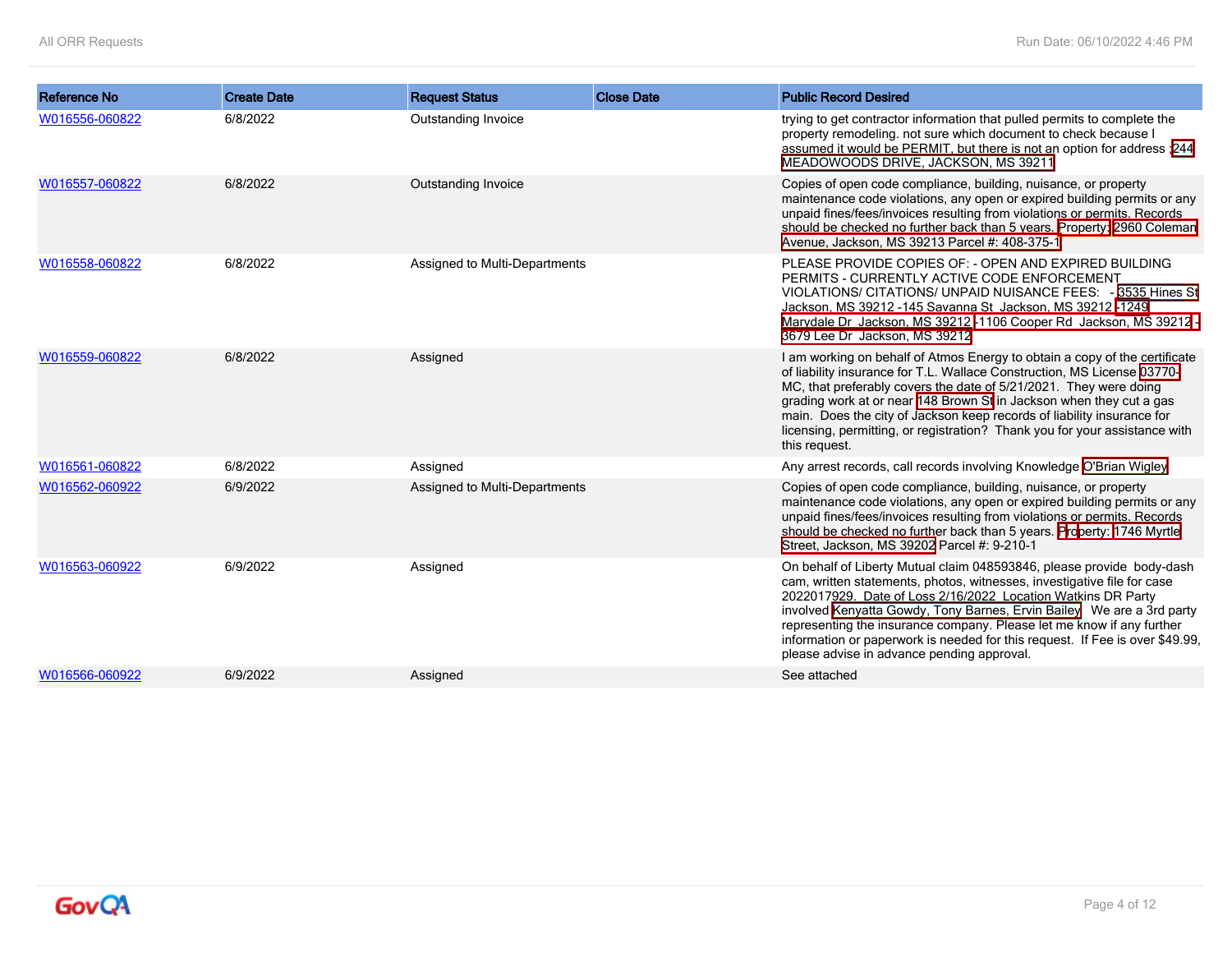| <b>Reference No</b> | <b>Create Date</b> | <b>Request Status</b>         | <b>Close Date</b> | <b>Public Record Desired</b>                                                                                                                                                                                                                                                                                                                                                                                                                                                                     |
|---------------------|--------------------|-------------------------------|-------------------|--------------------------------------------------------------------------------------------------------------------------------------------------------------------------------------------------------------------------------------------------------------------------------------------------------------------------------------------------------------------------------------------------------------------------------------------------------------------------------------------------|
| W016556-060822      | 6/8/2022           | Outstanding Invoice           |                   |                                                                                                                                                                                                                                                                                                                                                                                                                                                                                                  |
|                     |                    |                               |                   | trying to get contractor information that pulled permits to complete the<br>property remodeling. not sure which document to check because I<br>assumed it would be PERMIT, but there is not an option for address; 244<br>MEADOWOODS DRIVE, JACKSON, MS 39211                                                                                                                                                                                                                                    |
| W016557-060822      | 6/8/2022           | Outstanding Invoice           |                   | Copies of open code compliance, building, nuisance, or property<br>maintenance code violations, any open or expired building permits or any<br>unpaid fines/fees/invoices resulting from violations or permits. Records<br>should be checked no further back than 5 years. Property: 2960 Coleman<br>Avenue, Jackson, MS 39213 Parcel #: 408-375-1                                                                                                                                               |
| W016558-060822      | 6/8/2022           | Assigned to Multi-Departments |                   | PLEASE PROVIDE COPIES OF: - OPEN AND EXPIRED BUILDING<br>PERMITS - CURRENTLY ACTIVE CODE ENFORCEMENT<br>VIOLATIONS/ CITATIONS/ UNPAID NUISANCE FEES: - 3535 Hines St<br>Jackson, MS 39212 -145 Savanna St Jackson, MS 39212 -1249<br>Marydale Dr Jackson, MS 39212-1106 Cooper Rd Jackson, MS 39212-<br>3679 Lee Dr Jackson, MS 39212                                                                                                                                                            |
| W016559-060822      | 6/8/2022           | Assigned                      |                   | I am working on behalf of Atmos Energy to obtain a copy of the certificate<br>of liability insurance for T.L. Wallace Construction, MS License 03770-<br>MC, that preferably covers the date of 5/21/2021. They were doing<br>grading work at or near 148 Brown St in Jackson when they cut a gas<br>main. Does the city of Jackson keep records of liability insurance for<br>licensing, permitting, or registration? Thank you for your assistance with<br>this request.                       |
| W016561-060822      | 6/8/2022           | Assigned                      |                   | Any arrest records, call records involving Knowledge O'Brian Wigley                                                                                                                                                                                                                                                                                                                                                                                                                              |
| W016562-060922      | 6/9/2022           | Assigned to Multi-Departments |                   | Copies of open code compliance, building, nuisance, or property<br>maintenance code violations, any open or expired building permits or any<br>unpaid fines/fees/invoices resulting from violations or permits. Records<br>should be checked no further back than 5 years. Property: 1746 Myrtle<br>Street, Jackson, MS 39202 Parcel #: 9-210-1                                                                                                                                                  |
| W016563-060922      | 6/9/2022           | Assigned                      |                   | On behalf of Liberty Mutual claim 048593846, please provide body-dash<br>cam, written statements, photos, witnesses, investigative file for case<br>2022017929. Date of Loss 2/16/2022 Location Watkins DR Party<br>involved Kenyatta Gowdy, Tony Barnes, Ervin Bailey We are a 3rd party<br>representing the insurance company. Please let me know if any further<br>information or paperwork is needed for this request. If Fee is over \$49.99.<br>please advise in advance pending approval. |
| W016566-060922      | 6/9/2022           | Assigned                      |                   | See attached                                                                                                                                                                                                                                                                                                                                                                                                                                                                                     |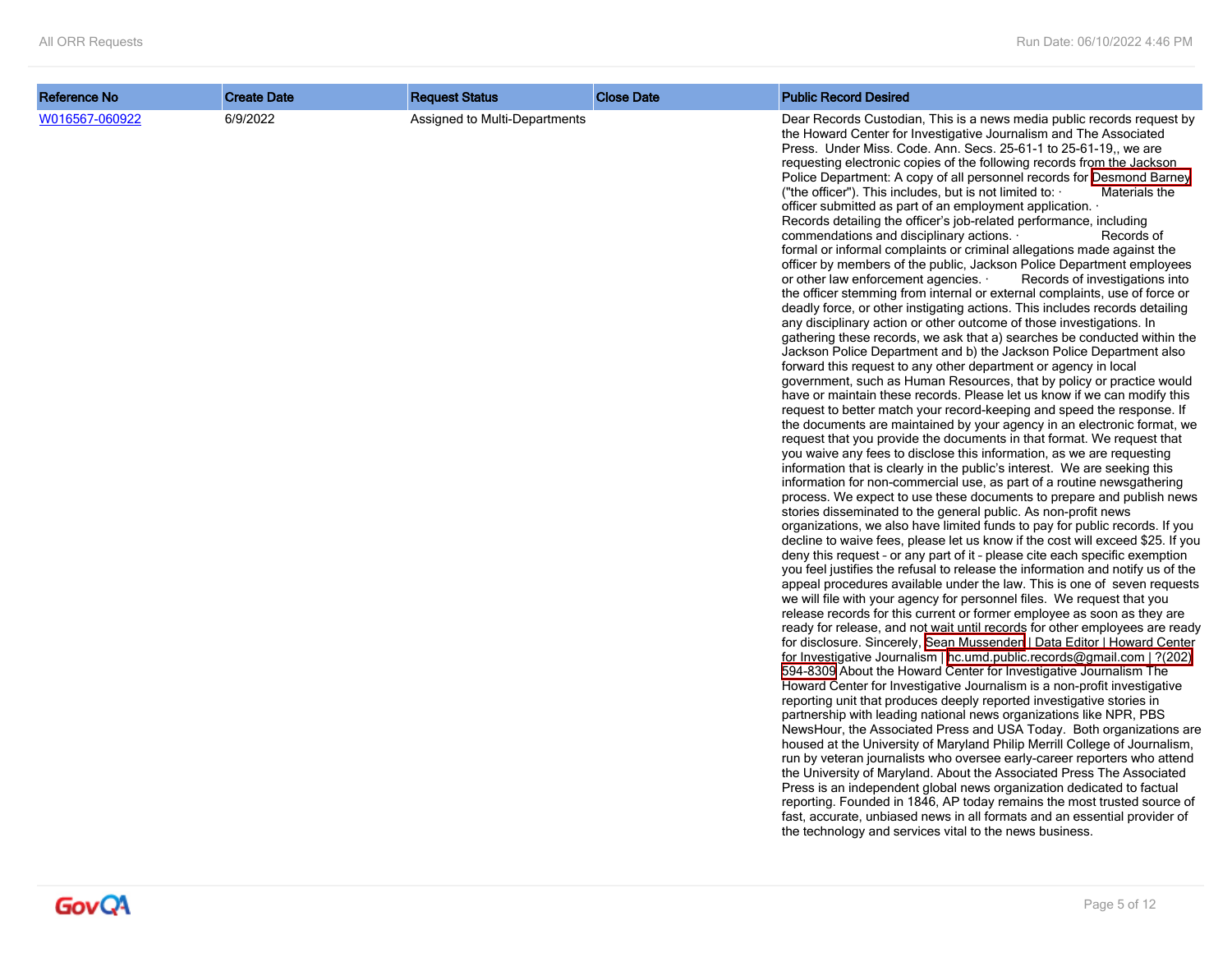| <b>Reference No</b><br><b>Request Status</b><br><b>Close Date</b><br><b>Create Date</b> | <b>Public Record Desired</b>                                                                                                                                                                                                                                                                                                                                                                                                                                                                                                                                                                                                                                                                                                                                                                                                                                                                                                                                                                                                                                                                                                                                                                                                                                                                                                                                                                                                                                                                                                                                                                                                                                                                                                                                                                                                                                                                                                                                                                                                                                                                                                                                                                                                                                                                                                                                                                                                                                                                                                                                                                                                                                                                                                                                                                                                                                                                                                                                                                                                                                                                                                                                                                                                                                                                                                                                                                                                                                                                                                                                                                                                                                        |
|-----------------------------------------------------------------------------------------|---------------------------------------------------------------------------------------------------------------------------------------------------------------------------------------------------------------------------------------------------------------------------------------------------------------------------------------------------------------------------------------------------------------------------------------------------------------------------------------------------------------------------------------------------------------------------------------------------------------------------------------------------------------------------------------------------------------------------------------------------------------------------------------------------------------------------------------------------------------------------------------------------------------------------------------------------------------------------------------------------------------------------------------------------------------------------------------------------------------------------------------------------------------------------------------------------------------------------------------------------------------------------------------------------------------------------------------------------------------------------------------------------------------------------------------------------------------------------------------------------------------------------------------------------------------------------------------------------------------------------------------------------------------------------------------------------------------------------------------------------------------------------------------------------------------------------------------------------------------------------------------------------------------------------------------------------------------------------------------------------------------------------------------------------------------------------------------------------------------------------------------------------------------------------------------------------------------------------------------------------------------------------------------------------------------------------------------------------------------------------------------------------------------------------------------------------------------------------------------------------------------------------------------------------------------------------------------------------------------------------------------------------------------------------------------------------------------------------------------------------------------------------------------------------------------------------------------------------------------------------------------------------------------------------------------------------------------------------------------------------------------------------------------------------------------------------------------------------------------------------------------------------------------------------------------------------------------------------------------------------------------------------------------------------------------------------------------------------------------------------------------------------------------------------------------------------------------------------------------------------------------------------------------------------------------------------------------------------------------------------------------------------------------------|
| W016567-060922<br>6/9/2022<br>Assigned to Multi-Departments                             | Dear Records Custodian, This is a news media public records request by<br>the Howard Center for Investigative Journalism and The Associated<br>Press. Under Miss. Code. Ann. Secs. 25-61-1 to 25-61-19,, we are<br>requesting electronic copies of the following records from the Jackson<br>Police Department: A copy of all personnel records for Desmond Barney<br>("the officer"). This includes, but is not limited to:<br>Materials the<br>officer submitted as part of an employment application.<br>Records detailing the officer's job-related performance, including<br>commendations and disciplinary actions.<br>Records of<br>formal or informal complaints or criminal allegations made against the<br>officer by members of the public, Jackson Police Department employees<br>or other law enforcement agencies.<br>Records of investigations into<br>the officer stemming from internal or external complaints, use of force or<br>deadly force, or other instigating actions. This includes records detailing<br>any disciplinary action or other outcome of those investigations. In<br>gathering these records, we ask that a) searches be conducted within the<br>Jackson Police Department and b) the Jackson Police Department also<br>forward this request to any other department or agency in local<br>government, such as Human Resources, that by policy or practice would<br>have or maintain these records. Please let us know if we can modify this<br>request to better match your record-keeping and speed the response. If<br>the documents are maintained by your agency in an electronic format, we<br>request that you provide the documents in that format. We request that<br>you waive any fees to disclose this information, as we are requesting<br>information that is clearly in the public's interest. We are seeking this<br>information for non-commercial use, as part of a routine newsgathering<br>process. We expect to use these documents to prepare and publish news<br>stories disseminated to the general public. As non-profit news<br>organizations, we also have limited funds to pay for public records. If you<br>decline to waive fees, please let us know if the cost will exceed \$25. If you<br>deny this request - or any part of it - please cite each specific exemption<br>you feel justifies the refusal to release the information and notify us of the<br>appeal procedures available under the law. This is one of seven requests<br>we will file with your agency for personnel files. We request that you<br>release records for this current or former employee as soon as they are<br>ready for release, and not wait until records for other employees are ready<br>for disclosure. Sincerely, Sean Mussenden   Data Editor   Howard Center<br>for Investigative Journalism   hc.umd.public.records@gmail.com   ?(202)<br>594-8309 About the Howard Center for Investigative Journalism The<br>Howard Center for Investigative Journalism is a non-profit investigative<br>reporting unit that produces deeply reported investigative stories in<br>partnership with leading national news organizations like NPR, PBS<br>NewsHour, the Associated Press and USA Today. Both organizations are<br>housed at the University of Maryland Philip Merrill College of Journalism,<br>run by veteran journalists who oversee early-career reporters who attend<br>the University of Maryland. About the Associated Press The Associated<br>Press is an independent global news organization dedicated to factual<br>reporting. Founded in 1846, AP today remains the most trusted source of |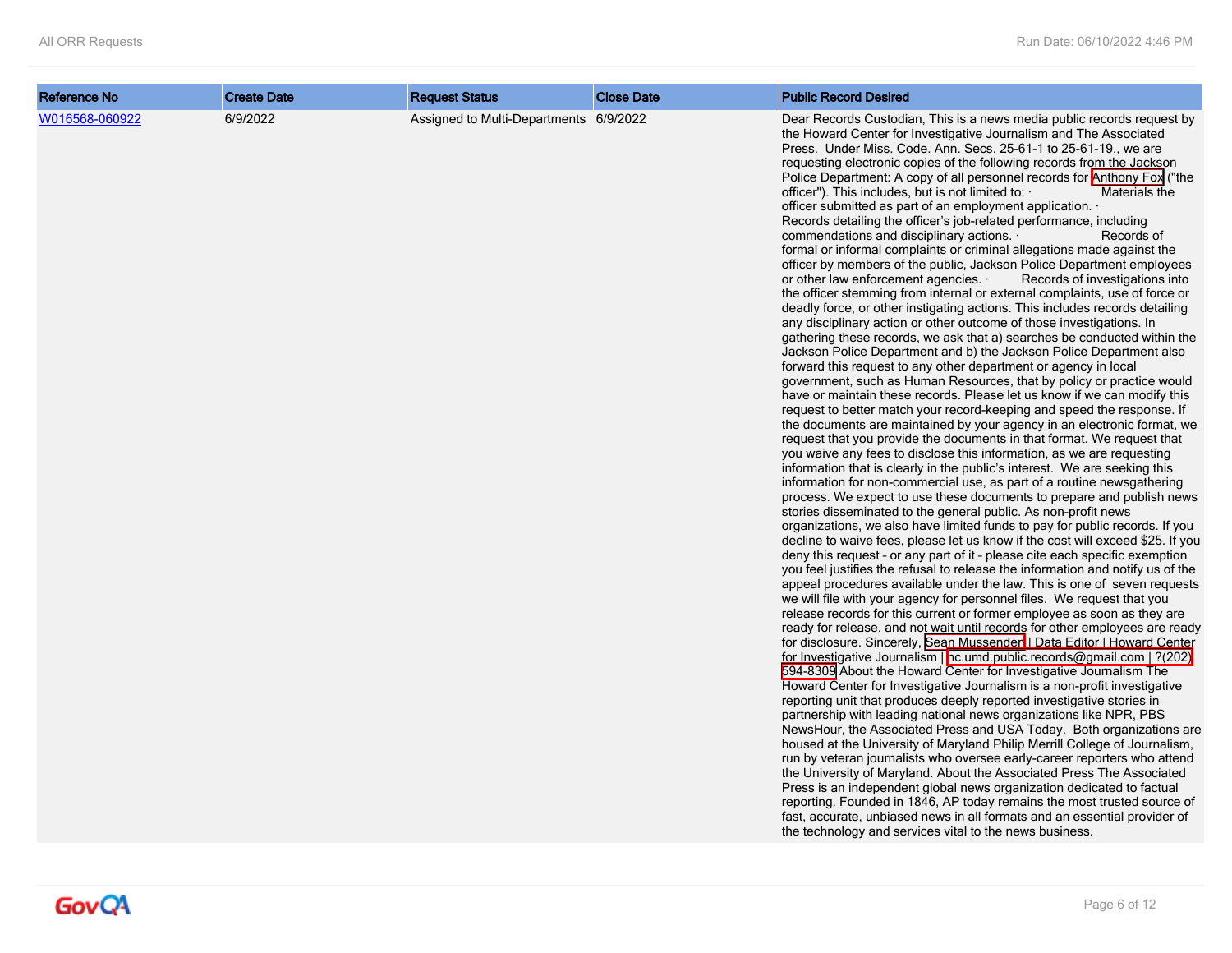| <b>Reference No</b> | <b>Create Date</b> | <b>Request Status</b>                  | <b>Close Date</b> | <b>Public Record Desired</b>                                                                                                                                                                                                                                                                                                                                                                                                                                                                                                                                                                                                                                                                                                                                                                                                                                                                                                                                                                                                                                                                                                                                                                                                                                                                                                                                                                                                                                                                                                                                                                                                                                                                                                                                                                                                                                                                                                                                                                                                                                                                                                                                                                                                                                                                                                                                                                                                                                                                                                                                                                                                                                                                                                                                                                                                                                                                                                                                                                                                                                                                                                                                                                                                                                                                                                                                                                                                                                                                                                                                                                                                                                                                                                                                                                               |
|---------------------|--------------------|----------------------------------------|-------------------|------------------------------------------------------------------------------------------------------------------------------------------------------------------------------------------------------------------------------------------------------------------------------------------------------------------------------------------------------------------------------------------------------------------------------------------------------------------------------------------------------------------------------------------------------------------------------------------------------------------------------------------------------------------------------------------------------------------------------------------------------------------------------------------------------------------------------------------------------------------------------------------------------------------------------------------------------------------------------------------------------------------------------------------------------------------------------------------------------------------------------------------------------------------------------------------------------------------------------------------------------------------------------------------------------------------------------------------------------------------------------------------------------------------------------------------------------------------------------------------------------------------------------------------------------------------------------------------------------------------------------------------------------------------------------------------------------------------------------------------------------------------------------------------------------------------------------------------------------------------------------------------------------------------------------------------------------------------------------------------------------------------------------------------------------------------------------------------------------------------------------------------------------------------------------------------------------------------------------------------------------------------------------------------------------------------------------------------------------------------------------------------------------------------------------------------------------------------------------------------------------------------------------------------------------------------------------------------------------------------------------------------------------------------------------------------------------------------------------------------------------------------------------------------------------------------------------------------------------------------------------------------------------------------------------------------------------------------------------------------------------------------------------------------------------------------------------------------------------------------------------------------------------------------------------------------------------------------------------------------------------------------------------------------------------------------------------------------------------------------------------------------------------------------------------------------------------------------------------------------------------------------------------------------------------------------------------------------------------------------------------------------------------------------------------------------------------------------------------------------------------------------------------------------------------------|
| W016568-060922      | 6/9/2022           | Assigned to Multi-Departments 6/9/2022 |                   | Dear Records Custodian, This is a news media public records request by<br>the Howard Center for Investigative Journalism and The Associated<br>Press. Under Miss. Code. Ann. Secs. 25-61-1 to 25-61-19,, we are<br>requesting electronic copies of the following records from the Jackson<br>Police Department: A copy of all personnel records for Anthony Fox ("the<br>officer"). This includes, but is not limited to:<br>Materials the<br>officer submitted as part of an employment application. .<br>Records detailing the officer's job-related performance, including<br>commendations and disciplinary actions.<br>Records of<br>formal or informal complaints or criminal allegations made against the<br>officer by members of the public, Jackson Police Department employees<br>Records of investigations into<br>or other law enforcement agencies.<br>the officer stemming from internal or external complaints, use of force or<br>deadly force, or other instigating actions. This includes records detailing<br>any disciplinary action or other outcome of those investigations. In<br>gathering these records, we ask that a) searches be conducted within the<br>Jackson Police Department and b) the Jackson Police Department also<br>forward this request to any other department or agency in local<br>government, such as Human Resources, that by policy or practice would<br>have or maintain these records. Please let us know if we can modify this<br>request to better match your record-keeping and speed the response. If<br>the documents are maintained by your agency in an electronic format, we<br>request that you provide the documents in that format. We request that<br>you waive any fees to disclose this information, as we are requesting<br>information that is clearly in the public's interest. We are seeking this<br>information for non-commercial use, as part of a routine newsgathering<br>process. We expect to use these documents to prepare and publish news<br>stories disseminated to the general public. As non-profit news<br>organizations, we also have limited funds to pay for public records. If you<br>decline to waive fees, please let us know if the cost will exceed \$25. If you<br>deny this request - or any part of it - please cite each specific exemption<br>you feel justifies the refusal to release the information and notify us of the<br>appeal procedures available under the law. This is one of seven requests<br>we will file with your agency for personnel files. We request that you<br>release records for this current or former employee as soon as they are<br>ready for release, and not wait until records for other employees are ready<br>for disclosure. Sincerely, Sean Mussenden   Data Editor   Howard Center<br>for Investigative Journalism   hc.umd.public.records@gmail.com   ?(202)<br>594-8309 About the Howard Center for Investigative Journalism The<br>Howard Center for Investigative Journalism is a non-profit investigative<br>reporting unit that produces deeply reported investigative stories in<br>partnership with leading national news organizations like NPR, PBS<br>NewsHour, the Associated Press and USA Today. Both organizations are<br>housed at the University of Maryland Philip Merrill College of Journalism,<br>run by veteran journalists who oversee early-career reporters who attend<br>the University of Maryland. About the Associated Press The Associated<br>Press is an independent global news organization dedicated to factual<br>reporting. Founded in 1846, AP today remains the most trusted source of<br>fast, accurate, unbiased news in all formats and an essential provider of<br>the technology and services vital to the news business. |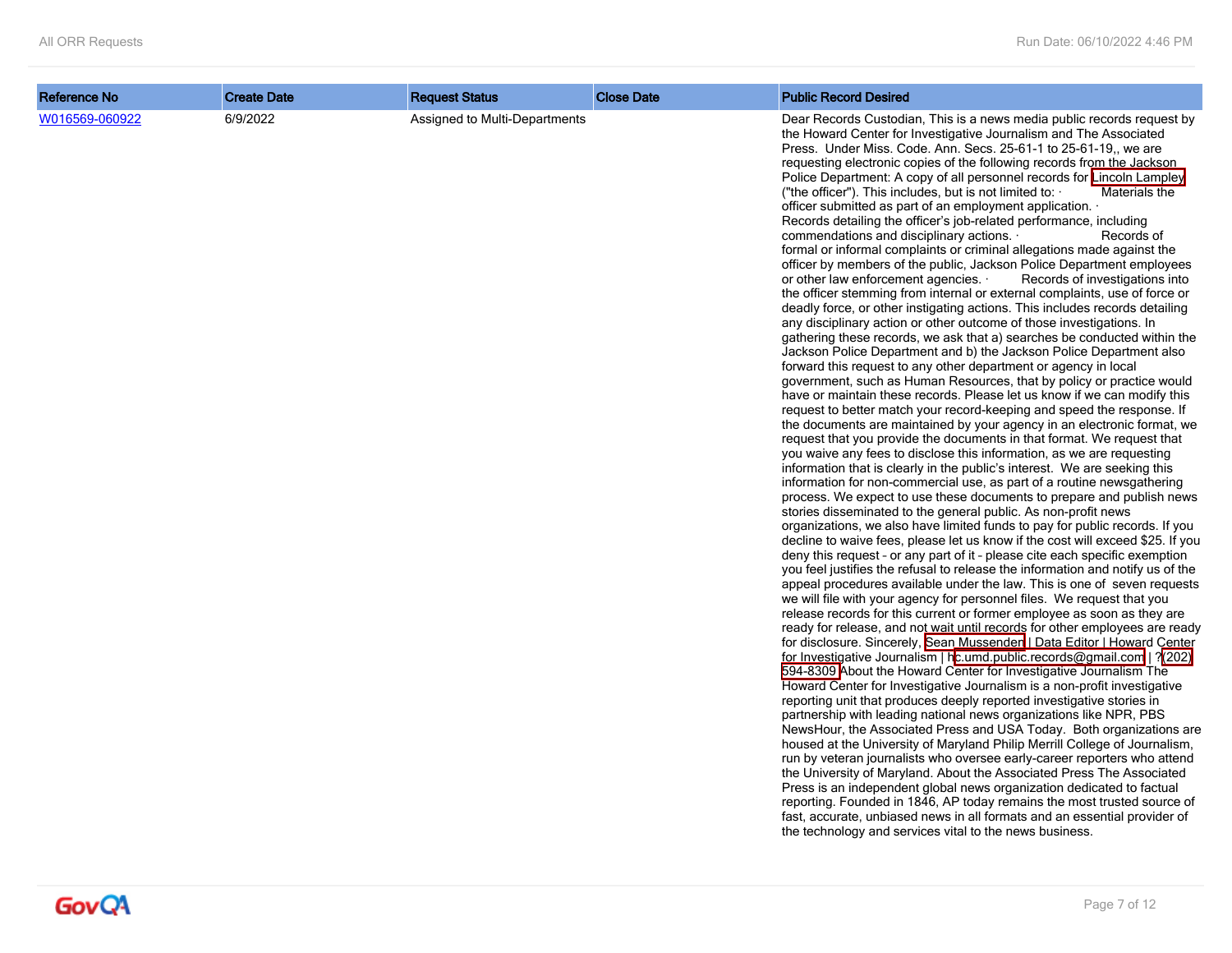| <b>Reference No</b> | <b>Create Date</b> | <b>Request Status</b>         | <b>Close Date</b> | <b>Public Record Desired</b>                                                                                                                                                                                                                                                                                                                                                                                                                                                                                                                                                                                                                                                                                                                                                                                                                                                                                                                                                                                                                                                                                                                                                                                                                                                                                                                                                                                                                                                                                                                                                                                                                                                                                                                                                                                                                                                                                                                                                                                                                                                                                                                                                                                                                                                                                                                                                                                                                                                                                                                                                                                                                                                                                                                                                                                                                                                                                                                                                                                                                                                                                                                                                                                                                                                                                                                                                                                                                                                                                                                                                                                                                                          |
|---------------------|--------------------|-------------------------------|-------------------|-----------------------------------------------------------------------------------------------------------------------------------------------------------------------------------------------------------------------------------------------------------------------------------------------------------------------------------------------------------------------------------------------------------------------------------------------------------------------------------------------------------------------------------------------------------------------------------------------------------------------------------------------------------------------------------------------------------------------------------------------------------------------------------------------------------------------------------------------------------------------------------------------------------------------------------------------------------------------------------------------------------------------------------------------------------------------------------------------------------------------------------------------------------------------------------------------------------------------------------------------------------------------------------------------------------------------------------------------------------------------------------------------------------------------------------------------------------------------------------------------------------------------------------------------------------------------------------------------------------------------------------------------------------------------------------------------------------------------------------------------------------------------------------------------------------------------------------------------------------------------------------------------------------------------------------------------------------------------------------------------------------------------------------------------------------------------------------------------------------------------------------------------------------------------------------------------------------------------------------------------------------------------------------------------------------------------------------------------------------------------------------------------------------------------------------------------------------------------------------------------------------------------------------------------------------------------------------------------------------------------------------------------------------------------------------------------------------------------------------------------------------------------------------------------------------------------------------------------------------------------------------------------------------------------------------------------------------------------------------------------------------------------------------------------------------------------------------------------------------------------------------------------------------------------------------------------------------------------------------------------------------------------------------------------------------------------------------------------------------------------------------------------------------------------------------------------------------------------------------------------------------------------------------------------------------------------------------------------------------------------------------------------------------------------|
| W016569-060922      | 6/9/2022           | Assigned to Multi-Departments |                   | Dear Records Custodian, This is a news media public records request by<br>the Howard Center for Investigative Journalism and The Associated<br>Press. Under Miss. Code. Ann. Secs. 25-61-1 to 25-61-19,, we are<br>requesting electronic copies of the following records from the Jackson<br>Police Department: A copy of all personnel records for Lincoln Lampley<br>("the officer"). This includes, but is not limited to:<br>Materials the<br>officer submitted as part of an employment application.<br>Records detailing the officer's job-related performance, including<br>commendations and disciplinary actions.<br>Records of<br>formal or informal complaints or criminal allegations made against the<br>officer by members of the public, Jackson Police Department employees<br>Records of investigations into<br>or other law enforcement agencies.<br>the officer stemming from internal or external complaints, use of force or<br>deadly force, or other instigating actions. This includes records detailing<br>any disciplinary action or other outcome of those investigations. In<br>gathering these records, we ask that a) searches be conducted within the<br>Jackson Police Department and b) the Jackson Police Department also<br>forward this request to any other department or agency in local<br>government, such as Human Resources, that by policy or practice would<br>have or maintain these records. Please let us know if we can modify this<br>request to better match your record-keeping and speed the response. If<br>the documents are maintained by your agency in an electronic format, we<br>request that you provide the documents in that format. We request that<br>you waive any fees to disclose this information, as we are requesting<br>information that is clearly in the public's interest. We are seeking this<br>information for non-commercial use, as part of a routine newsgathering<br>process. We expect to use these documents to prepare and publish news<br>stories disseminated to the general public. As non-profit news<br>organizations, we also have limited funds to pay for public records. If you<br>decline to waive fees, please let us know if the cost will exceed \$25. If you<br>deny this request - or any part of it - please cite each specific exemption<br>you feel justifies the refusal to release the information and notify us of the<br>appeal procedures available under the law. This is one of seven requests<br>we will file with your agency for personnel files. We request that you<br>release records for this current or former employee as soon as they are<br>ready for release, and not wait until records for other employees are ready<br>for disclosure. Sincerely, Sean Mussenden   Data Editor   Howard Center<br>for Investigative Journalism   hc.umd.public.records@gmail.com   ? (202)<br>594-8309 About the Howard Center for Investigative Journalism The<br>Howard Center for Investigative Journalism is a non-profit investigative<br>reporting unit that produces deeply reported investigative stories in<br>partnership with leading national news organizations like NPR, PBS<br>NewsHour, the Associated Press and USA Today. Both organizations are<br>housed at the University of Maryland Philip Merrill College of Journalism,<br>run by veteran journalists who oversee early-career reporters who attend<br>the University of Maryland. About the Associated Press The Associated<br>Press is an independent global news organization dedicated to factual<br>reporting. Founded in 1846, AP today remains the most trusted source of |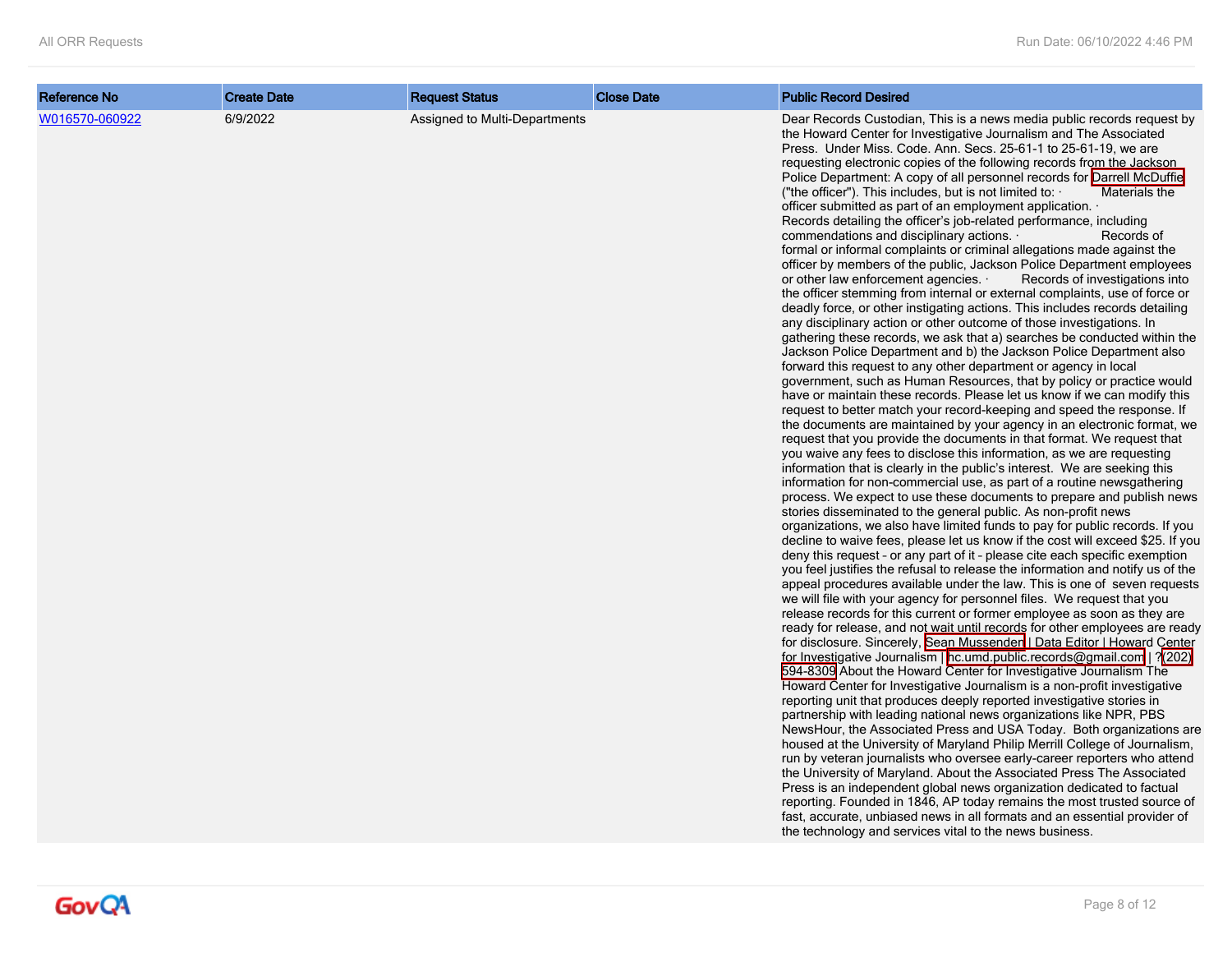| <b>Reference No</b> | <b>Create Date</b> | <b>Request Status</b>         | <b>Close Date</b> | <b>Public Record Desired</b>                                                                                                                                                                                                                                                                                                                                                                                                                                                                                                                                                                                                                                                                                                                                                                                                                                                                                                                                                                                                                                                                                                                                                                                                                                                                                                                                                                                                                                                                                                                                                                                                                                                                                                                                                                                                                                                                                                                                                                                                                                                                                                                                                                                                                                                                                                                                                                                                                                                                                                                                                                                                                                                                                                                                                                                                                                                                                                                                                                                                                                                                                                                                                                                                                                                                                                                                                                                                                                                                                                                                                                                                                                                                                                                         |
|---------------------|--------------------|-------------------------------|-------------------|------------------------------------------------------------------------------------------------------------------------------------------------------------------------------------------------------------------------------------------------------------------------------------------------------------------------------------------------------------------------------------------------------------------------------------------------------------------------------------------------------------------------------------------------------------------------------------------------------------------------------------------------------------------------------------------------------------------------------------------------------------------------------------------------------------------------------------------------------------------------------------------------------------------------------------------------------------------------------------------------------------------------------------------------------------------------------------------------------------------------------------------------------------------------------------------------------------------------------------------------------------------------------------------------------------------------------------------------------------------------------------------------------------------------------------------------------------------------------------------------------------------------------------------------------------------------------------------------------------------------------------------------------------------------------------------------------------------------------------------------------------------------------------------------------------------------------------------------------------------------------------------------------------------------------------------------------------------------------------------------------------------------------------------------------------------------------------------------------------------------------------------------------------------------------------------------------------------------------------------------------------------------------------------------------------------------------------------------------------------------------------------------------------------------------------------------------------------------------------------------------------------------------------------------------------------------------------------------------------------------------------------------------------------------------------------------------------------------------------------------------------------------------------------------------------------------------------------------------------------------------------------------------------------------------------------------------------------------------------------------------------------------------------------------------------------------------------------------------------------------------------------------------------------------------------------------------------------------------------------------------------------------------------------------------------------------------------------------------------------------------------------------------------------------------------------------------------------------------------------------------------------------------------------------------------------------------------------------------------------------------------------------------------------------------------------------------------------------------------------------------|
| W016570-060922      | 6/9/2022           | Assigned to Multi-Departments |                   | Dear Records Custodian, This is a news media public records request by<br>the Howard Center for Investigative Journalism and The Associated<br>Press. Under Miss. Code. Ann. Secs. 25-61-1 to 25-61-19, we are<br>requesting electronic copies of the following records from the Jackson<br>Police Department: A copy of all personnel records for Darrell McDuffie<br>("the officer"). This includes, but is not limited to:<br>Materials the<br>officer submitted as part of an employment application. .<br>Records detailing the officer's job-related performance, including<br>commendations and disciplinary actions.<br>Records of<br>formal or informal complaints or criminal allegations made against the<br>officer by members of the public, Jackson Police Department employees<br>or other law enforcement agencies.<br>Records of investigations into<br>the officer stemming from internal or external complaints, use of force or<br>deadly force, or other instigating actions. This includes records detailing<br>any disciplinary action or other outcome of those investigations. In<br>gathering these records, we ask that a) searches be conducted within the<br>Jackson Police Department and b) the Jackson Police Department also<br>forward this request to any other department or agency in local<br>government, such as Human Resources, that by policy or practice would<br>have or maintain these records. Please let us know if we can modify this<br>request to better match your record-keeping and speed the response. If<br>the documents are maintained by your agency in an electronic format, we<br>request that you provide the documents in that format. We request that<br>you waive any fees to disclose this information, as we are requesting<br>information that is clearly in the public's interest. We are seeking this<br>information for non-commercial use, as part of a routine newsgathering<br>process. We expect to use these documents to prepare and publish news<br>stories disseminated to the general public. As non-profit news<br>organizations, we also have limited funds to pay for public records. If you<br>decline to waive fees, please let us know if the cost will exceed \$25. If you<br>deny this request - or any part of it - please cite each specific exemption<br>you feel justifies the refusal to release the information and notify us of the<br>appeal procedures available under the law. This is one of seven requests<br>we will file with your agency for personnel files. We request that you<br>release records for this current or former employee as soon as they are<br>ready for release, and not wait until records for other employees are ready<br>for disclosure. Sincerely, Sean Mussenden   Data Editor   Howard Center<br>for Investigative Journalism   hc.umd.public.records@gmail.com   ? (202)<br>594-8309 About the Howard Center for Investigative Journalism The<br>Howard Center for Investigative Journalism is a non-profit investigative<br>reporting unit that produces deeply reported investigative stories in<br>partnership with leading national news organizations like NPR, PBS<br>NewsHour, the Associated Press and USA Today. Both organizations are<br>housed at the University of Maryland Philip Merrill College of Journalism,<br>run by veteran journalists who oversee early-career reporters who attend<br>the University of Maryland. About the Associated Press The Associated<br>Press is an independent global news organization dedicated to factual<br>reporting. Founded in 1846, AP today remains the most trusted source of<br>fast, accurate, unbiased news in all formats and an essential provider of |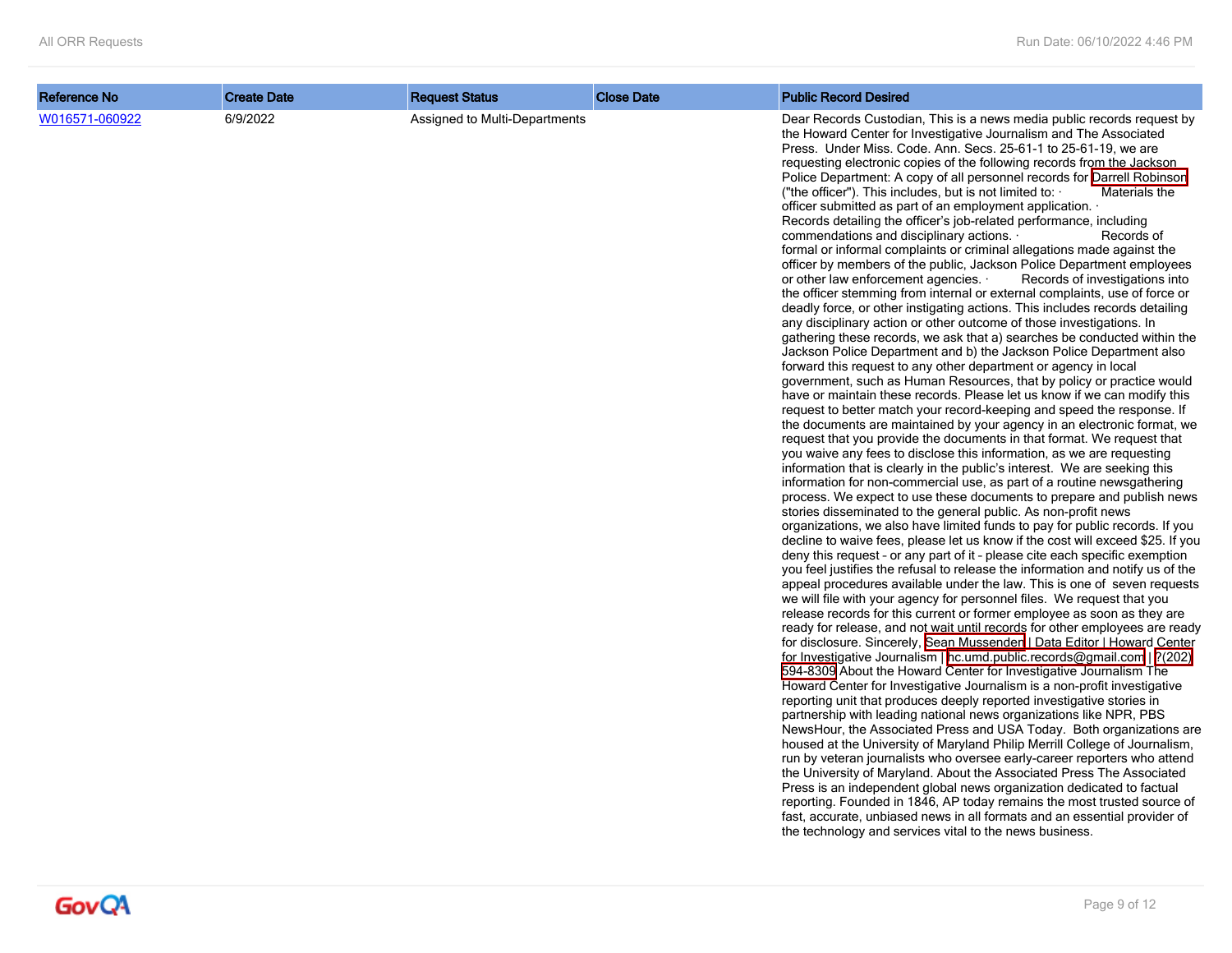| <b>Request Status</b><br>W016571-060922<br>6/9/2022<br>Assigned to Multi-Departments | Dear Records Custodian, This is a news media public records request by<br>the Howard Center for Investigative Journalism and The Associated<br>Press. Under Miss. Code. Ann. Secs. 25-61-1 to 25-61-19, we are<br>requesting electronic copies of the following records from the Jackson<br>Police Department: A copy of all personnel records for Darrell Robinson                                                                                                                                                                                                                                                                                                                                                                                                                                                                                                                                                                                                                                                                                                                                                                                                                                                                                                                                                                                                                                                                                                                                                                                                                                                                                                                                                                                                                                                                                                                                                                                                                                                                                                                                                                                                                                                                                                                                                                                                                                                                                                                                                                                                                                                                                                                                                                                                                                                                                                                                                                                                                                                                                                                                                                                                                                                                                                                                                                                                                                                                     |
|--------------------------------------------------------------------------------------|-----------------------------------------------------------------------------------------------------------------------------------------------------------------------------------------------------------------------------------------------------------------------------------------------------------------------------------------------------------------------------------------------------------------------------------------------------------------------------------------------------------------------------------------------------------------------------------------------------------------------------------------------------------------------------------------------------------------------------------------------------------------------------------------------------------------------------------------------------------------------------------------------------------------------------------------------------------------------------------------------------------------------------------------------------------------------------------------------------------------------------------------------------------------------------------------------------------------------------------------------------------------------------------------------------------------------------------------------------------------------------------------------------------------------------------------------------------------------------------------------------------------------------------------------------------------------------------------------------------------------------------------------------------------------------------------------------------------------------------------------------------------------------------------------------------------------------------------------------------------------------------------------------------------------------------------------------------------------------------------------------------------------------------------------------------------------------------------------------------------------------------------------------------------------------------------------------------------------------------------------------------------------------------------------------------------------------------------------------------------------------------------------------------------------------------------------------------------------------------------------------------------------------------------------------------------------------------------------------------------------------------------------------------------------------------------------------------------------------------------------------------------------------------------------------------------------------------------------------------------------------------------------------------------------------------------------------------------------------------------------------------------------------------------------------------------------------------------------------------------------------------------------------------------------------------------------------------------------------------------------------------------------------------------------------------------------------------------------------------------------------------------------------------------------------------------|
|                                                                                      | ("the officer"). This includes, but is not limited to: -<br>Materials the<br>officer submitted as part of an employment application.<br>Records detailing the officer's job-related performance, including<br>commendations and disciplinary actions.<br>Records of<br>formal or informal complaints or criminal allegations made against the<br>officer by members of the public, Jackson Police Department employees<br>Records of investigations into<br>or other law enforcement agencies.<br>the officer stemming from internal or external complaints, use of force or<br>deadly force, or other instigating actions. This includes records detailing<br>any disciplinary action or other outcome of those investigations. In<br>gathering these records, we ask that a) searches be conducted within the<br>Jackson Police Department and b) the Jackson Police Department also<br>forward this request to any other department or agency in local<br>government, such as Human Resources, that by policy or practice would<br>have or maintain these records. Please let us know if we can modify this<br>request to better match your record-keeping and speed the response. If<br>the documents are maintained by your agency in an electronic format, we<br>request that you provide the documents in that format. We request that<br>you waive any fees to disclose this information, as we are requesting<br>information that is clearly in the public's interest. We are seeking this<br>information for non-commercial use, as part of a routine newsgathering<br>process. We expect to use these documents to prepare and publish news<br>stories disseminated to the general public. As non-profit news<br>organizations, we also have limited funds to pay for public records. If you<br>decline to waive fees, please let us know if the cost will exceed \$25. If you<br>deny this request - or any part of it - please cite each specific exemption<br>you feel justifies the refusal to release the information and notify us of the<br>appeal procedures available under the law. This is one of seven requests<br>we will file with your agency for personnel files. We request that you<br>release records for this current or former employee as soon as they are<br>ready for release, and not wait until records for other employees are ready<br>for disclosure. Sincerely, Sean Mussenden   Data Editor   Howard Center<br>for Investigative Journalism   hc.umd.public.records@gmail.com   ?(202)<br>594-8309 About the Howard Center for Investigative Journalism The<br>Howard Center for Investigative Journalism is a non-profit investigative<br>reporting unit that produces deeply reported investigative stories in<br>partnership with leading national news organizations like NPR, PBS<br>NewsHour, the Associated Press and USA Today. Both organizations are<br>housed at the University of Maryland Philip Merrill College of Journalism,<br>run by veteran journalists who oversee early-career reporters who attend<br>the University of Maryland. About the Associated Press The Associated<br>Press is an independent global news organization dedicated to factual<br>reporting. Founded in 1846, AP today remains the most trusted source of<br>fast, accurate, unbiased news in all formats and an essential provider of<br>the technology and services vital to the news business. |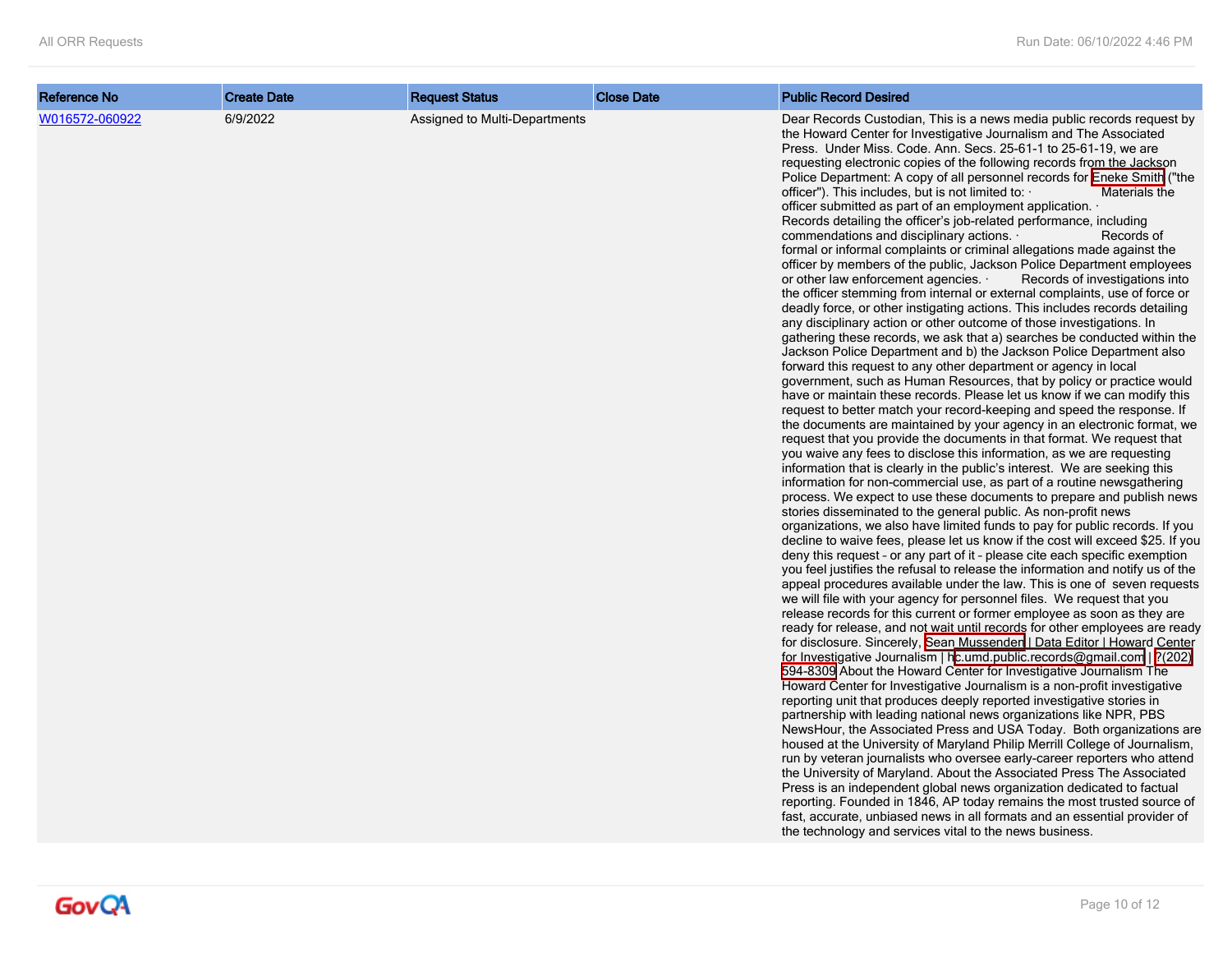| <b>Reference No</b> | <b>Create Date</b> | <b>Request Status</b>         | <b>Close Date</b> | <b>Public Record Desired</b>                                                                                                                                                                                                                                                                                                                                                                                                                                                                                                                                                                                                                                                                                                                                                                                                                                                                                                                                                                                                                                                                                                                                                                                                                                                                                                                                                                                                                                                                                                                                                                                                                                                                                                                                                                                                                                                                                                                                                                                                                                                                                                                                                                                                                                                                                                                                                                                                                                                                                                                                                                                                                                                                                                                                                                                                                                                                                                                                                                                                                                                                                                                                                                                                                                                                                                                                                                                                                                                                                                                                                                                                                                                                                                                                                                              |
|---------------------|--------------------|-------------------------------|-------------------|-----------------------------------------------------------------------------------------------------------------------------------------------------------------------------------------------------------------------------------------------------------------------------------------------------------------------------------------------------------------------------------------------------------------------------------------------------------------------------------------------------------------------------------------------------------------------------------------------------------------------------------------------------------------------------------------------------------------------------------------------------------------------------------------------------------------------------------------------------------------------------------------------------------------------------------------------------------------------------------------------------------------------------------------------------------------------------------------------------------------------------------------------------------------------------------------------------------------------------------------------------------------------------------------------------------------------------------------------------------------------------------------------------------------------------------------------------------------------------------------------------------------------------------------------------------------------------------------------------------------------------------------------------------------------------------------------------------------------------------------------------------------------------------------------------------------------------------------------------------------------------------------------------------------------------------------------------------------------------------------------------------------------------------------------------------------------------------------------------------------------------------------------------------------------------------------------------------------------------------------------------------------------------------------------------------------------------------------------------------------------------------------------------------------------------------------------------------------------------------------------------------------------------------------------------------------------------------------------------------------------------------------------------------------------------------------------------------------------------------------------------------------------------------------------------------------------------------------------------------------------------------------------------------------------------------------------------------------------------------------------------------------------------------------------------------------------------------------------------------------------------------------------------------------------------------------------------------------------------------------------------------------------------------------------------------------------------------------------------------------------------------------------------------------------------------------------------------------------------------------------------------------------------------------------------------------------------------------------------------------------------------------------------------------------------------------------------------------------------------------------------------------------------------------------------------|
| W016572-060922      | 6/9/2022           | Assigned to Multi-Departments |                   | Dear Records Custodian, This is a news media public records request by<br>the Howard Center for Investigative Journalism and The Associated<br>Press. Under Miss. Code. Ann. Secs. 25-61-1 to 25-61-19, we are<br>requesting electronic copies of the following records from the Jackson<br>Police Department: A copy of all personnel records for Eneke Smith ("the<br>officer"). This includes, but is not limited to:<br>Materials the<br>officer submitted as part of an employment application. .<br>Records detailing the officer's job-related performance, including<br>commendations and disciplinary actions.<br>Records of<br>formal or informal complaints or criminal allegations made against the<br>officer by members of the public, Jackson Police Department employees<br>or other law enforcement agencies.<br>Records of investigations into<br>the officer stemming from internal or external complaints, use of force or<br>deadly force, or other instigating actions. This includes records detailing<br>any disciplinary action or other outcome of those investigations. In<br>gathering these records, we ask that a) searches be conducted within the<br>Jackson Police Department and b) the Jackson Police Department also<br>forward this request to any other department or agency in local<br>government, such as Human Resources, that by policy or practice would<br>have or maintain these records. Please let us know if we can modify this<br>request to better match your record-keeping and speed the response. If<br>the documents are maintained by your agency in an electronic format, we<br>request that you provide the documents in that format. We request that<br>you waive any fees to disclose this information, as we are requesting<br>information that is clearly in the public's interest. We are seeking this<br>information for non-commercial use, as part of a routine newsgathering<br>process. We expect to use these documents to prepare and publish news<br>stories disseminated to the general public. As non-profit news<br>organizations, we also have limited funds to pay for public records. If you<br>decline to waive fees, please let us know if the cost will exceed \$25. If you<br>deny this request - or any part of it - please cite each specific exemption<br>you feel justifies the refusal to release the information and notify us of the<br>appeal procedures available under the law. This is one of seven requests<br>we will file with your agency for personnel files. We request that you<br>release records for this current or former employee as soon as they are<br>ready for release, and not wait until records for other employees are ready<br>for disclosure. Sincerely, Sean Mussenden   Data Editor   Howard Center<br>for Investigative Journalism   hc.umd.public.records@gmail.com   ?(202)<br>594-8309 About the Howard Center for Investigative Journalism The<br>Howard Center for Investigative Journalism is a non-profit investigative<br>reporting unit that produces deeply reported investigative stories in<br>partnership with leading national news organizations like NPR, PBS<br>NewsHour, the Associated Press and USA Today. Both organizations are<br>housed at the University of Maryland Philip Merrill College of Journalism,<br>run by veteran journalists who oversee early-career reporters who attend<br>the University of Maryland. About the Associated Press The Associated<br>Press is an independent global news organization dedicated to factual<br>reporting. Founded in 1846, AP today remains the most trusted source of<br>fast, accurate, unbiased news in all formats and an essential provider of<br>the technology and services vital to the news business. |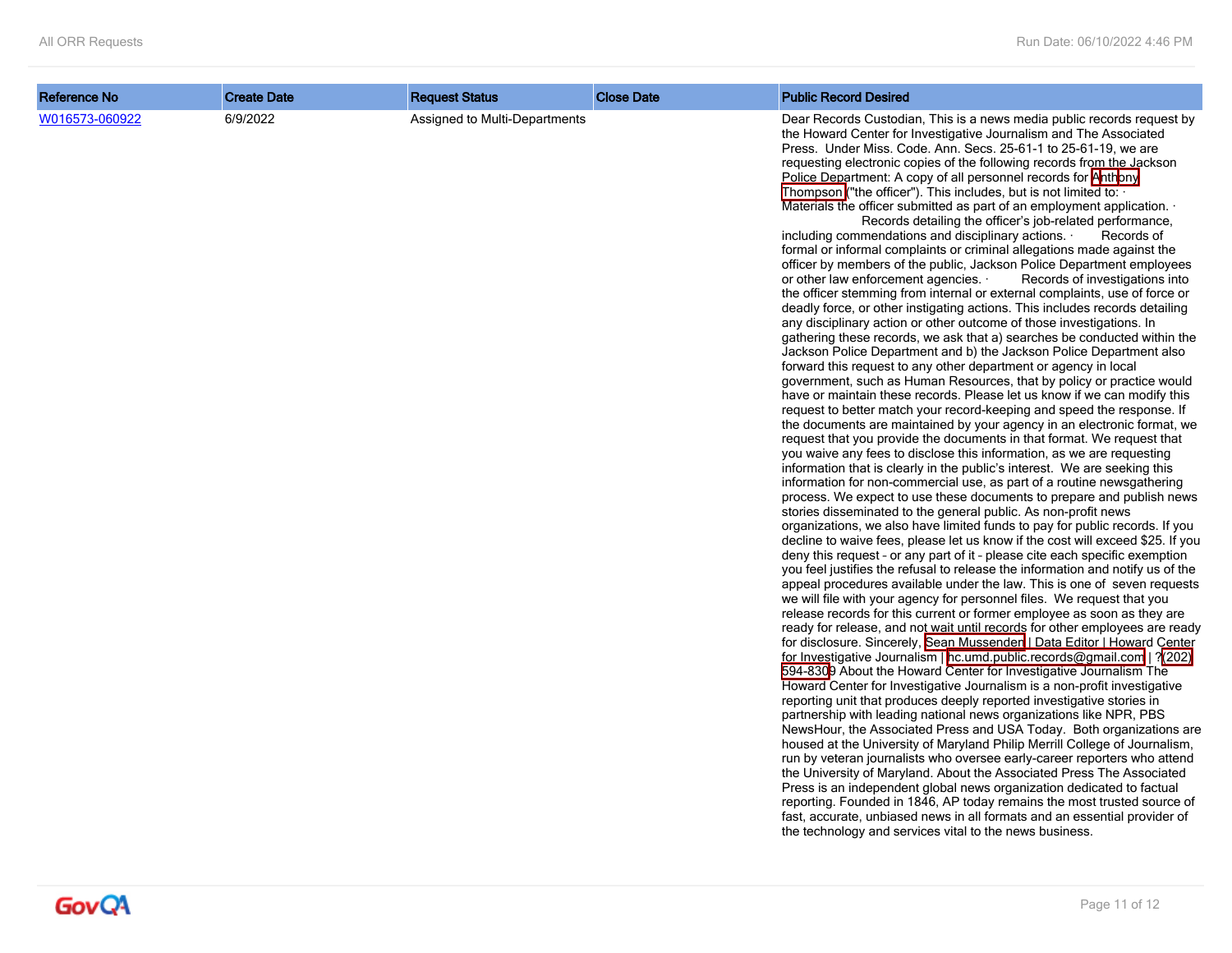| <b>Reference No</b> | <b>Create Date</b> | <b>Request Status</b>         | <b>Close Date</b> | <b>Public Record Desired</b>                                                                                                                                                                                                                                                                                                                                                                                                                                                                                                                                                                                                                                                                                                                                                                                                                                                                                                                                                                                                                                                                                                                                                                                                                                                                                                                                                                                                                                                                                                                                                                                                                                                                                                                                                                                                                                                                                                                                                                                                                                                                                                                                                                                                                                                                                                                                                                                                                                                                                                                                                                                                                                                                                                                                                                                                                                                                                                                                                                                                                                                                                                                                                                                                                                                                                                                                                                                                                                                                                                                                                                                                                                                                                                                                                                               |
|---------------------|--------------------|-------------------------------|-------------------|------------------------------------------------------------------------------------------------------------------------------------------------------------------------------------------------------------------------------------------------------------------------------------------------------------------------------------------------------------------------------------------------------------------------------------------------------------------------------------------------------------------------------------------------------------------------------------------------------------------------------------------------------------------------------------------------------------------------------------------------------------------------------------------------------------------------------------------------------------------------------------------------------------------------------------------------------------------------------------------------------------------------------------------------------------------------------------------------------------------------------------------------------------------------------------------------------------------------------------------------------------------------------------------------------------------------------------------------------------------------------------------------------------------------------------------------------------------------------------------------------------------------------------------------------------------------------------------------------------------------------------------------------------------------------------------------------------------------------------------------------------------------------------------------------------------------------------------------------------------------------------------------------------------------------------------------------------------------------------------------------------------------------------------------------------------------------------------------------------------------------------------------------------------------------------------------------------------------------------------------------------------------------------------------------------------------------------------------------------------------------------------------------------------------------------------------------------------------------------------------------------------------------------------------------------------------------------------------------------------------------------------------------------------------------------------------------------------------------------------------------------------------------------------------------------------------------------------------------------------------------------------------------------------------------------------------------------------------------------------------------------------------------------------------------------------------------------------------------------------------------------------------------------------------------------------------------------------------------------------------------------------------------------------------------------------------------------------------------------------------------------------------------------------------------------------------------------------------------------------------------------------------------------------------------------------------------------------------------------------------------------------------------------------------------------------------------------------------------------------------------------------------------------------------------------|
| W016573-060922      | 6/9/2022           | Assigned to Multi-Departments |                   | Dear Records Custodian, This is a news media public records request by<br>the Howard Center for Investigative Journalism and The Associated<br>Press. Under Miss. Code. Ann. Secs. 25-61-1 to 25-61-19, we are<br>requesting electronic copies of the following records from the Jackson<br>Police Department: A copy of all personnel records for Anthony<br>Thompson ("the officer"). This includes, but is not limited to:<br>Materials the officer submitted as part of an employment application.<br>Records detailing the officer's job-related performance,<br>including commendations and disciplinary actions.<br>Records of<br>formal or informal complaints or criminal allegations made against the<br>officer by members of the public, Jackson Police Department employees<br>or other law enforcement agencies.<br>Records of investigations into<br>the officer stemming from internal or external complaints, use of force or<br>deadly force, or other instigating actions. This includes records detailing<br>any disciplinary action or other outcome of those investigations. In<br>gathering these records, we ask that a) searches be conducted within the<br>Jackson Police Department and b) the Jackson Police Department also<br>forward this request to any other department or agency in local<br>government, such as Human Resources, that by policy or practice would<br>have or maintain these records. Please let us know if we can modify this<br>request to better match your record-keeping and speed the response. If<br>the documents are maintained by your agency in an electronic format, we<br>request that you provide the documents in that format. We request that<br>you waive any fees to disclose this information, as we are requesting<br>information that is clearly in the public's interest. We are seeking this<br>information for non-commercial use, as part of a routine newsgathering<br>process. We expect to use these documents to prepare and publish news<br>stories disseminated to the general public. As non-profit news<br>organizations, we also have limited funds to pay for public records. If you<br>decline to waive fees, please let us know if the cost will exceed \$25. If you<br>deny this request - or any part of it - please cite each specific exemption<br>you feel justifies the refusal to release the information and notify us of the<br>appeal procedures available under the law. This is one of seven requests<br>we will file with your agency for personnel files. We request that you<br>release records for this current or former employee as soon as they are<br>ready for release, and not wait until records for other employees are ready<br>for disclosure. Sincerely, Sean Mussenden   Data Editor   Howard Center<br>for Investigative Journalism   hc.umd.public.records@gmail.com   ? (202)<br>594-8309 About the Howard Center for Investigative Journalism The<br>Howard Center for Investigative Journalism is a non-profit investigative<br>reporting unit that produces deeply reported investigative stories in<br>partnership with leading national news organizations like NPR, PBS<br>NewsHour, the Associated Press and USA Today. Both organizations are<br>housed at the University of Maryland Philip Merrill College of Journalism,<br>run by veteran journalists who oversee early-career reporters who attend<br>the University of Maryland. About the Associated Press The Associated<br>Press is an independent global news organization dedicated to factual<br>reporting. Founded in 1846, AP today remains the most trusted source of<br>fast, accurate, unbiased news in all formats and an essential provider of<br>the technology and services vital to the news business. |